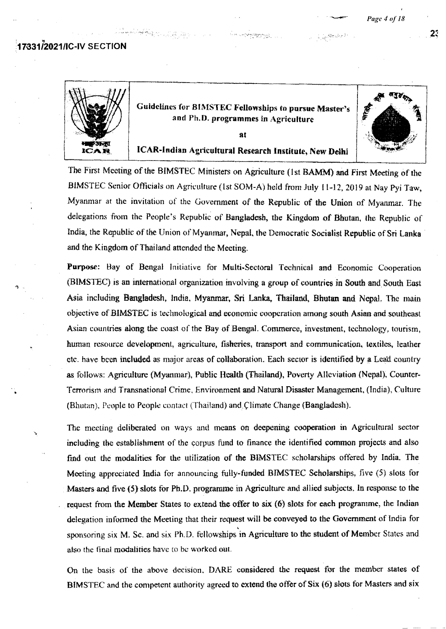**:17.33112021/IC-IV SECTION** 

|                | Guidelines for BIMSTEC Fellowships to pursue Master's<br>and Ph.D. programmes in Agriculture | পৰ্∦ু⊳<br>瘩 |
|----------------|----------------------------------------------------------------------------------------------|-------------|
|                | я                                                                                            |             |
| 231.71<br>ICAR | ICAR-Indian Agricultural Research Institute, New Delhi                                       |             |

The First Meeting of the BIMSTEC **Ministers** on Agriculture (1St **BAMM)** and First Meeting of the BIMSTEC Senior Officials on Agriculture (1st SOM-A) held from July 11-12, 2019 at Nay Pyi Taw, Myanmar at the invitation of the Government of the Republic of the Union of Myanmar. The delegations from the People's Republic of Bangladesh, the Kingdom of Bhutan, the Republic of India, the Republic of the Union *of'* Myanmar, Nepal, the Democratic Socialist Republic of Sri Lanka and the Kingdom of Thailand attended the Meeting.

Purpose: Bay of Bengal Initiative for Multi-Sectoral Technical and Economic Cooperation (BIMSTEC) is an international organization involving a group of countries in South. and South East Asia including Bangladesh, India, Myanmar, Sri Lanka. Thailand, **Bhutan and** Nepal. The main objective of BiMSTEC **is technological and economic coopertion** *among south Asian* msoutheast Asian countries along the coast of the Bay of Bengal. Commerce, investment, technology, tourism, human resource development, agnculture, fisheries, transport and communication, textiles, leather etc. have been included as major areas of collaboration. Each sector is identified by a Lead country as follows: Agriculture (Myamuar), Public **Health** (Thailand), Poverty Alleviation (Nepal), Counter-Terrorism and Transnational Crime, Environment and Natural Disaster Management, (India), Culture (Bhutan). People to People contact (Thailand) and Climate Change (Bangladesh).

The meeting deliberated on ways and means on deepening cooperation in Agricultural sector including the establishment of the corpus fund to finance the identified common projects and also find out the modalities for the utilization of the BIMSTEC scholarships offered by India. The Meeting appreciated India for announcing fully-funded BIMSTEC Scholarships, five (5) slots for Masters and five (5) slots for Ph.D. programme in Agriculture and allied subjects. In response to the request from the Member States to extend the offer to six (6) slots for **each** programme. the Indian delegation informed the Meeting that their request will be conveyed to the Government of India for sponsoring six M. Sc. and six Ph.D. fellowships in Agriculture to the student of Member States and. also the final modalities have to be worked out.

*Oi the basis of the above decision. DARE* considered the request. for the member states of BIMSTEC and the competent authority agreed to extend the offer of Six (6) slots for Masters and six

 $2<sup>1</sup>$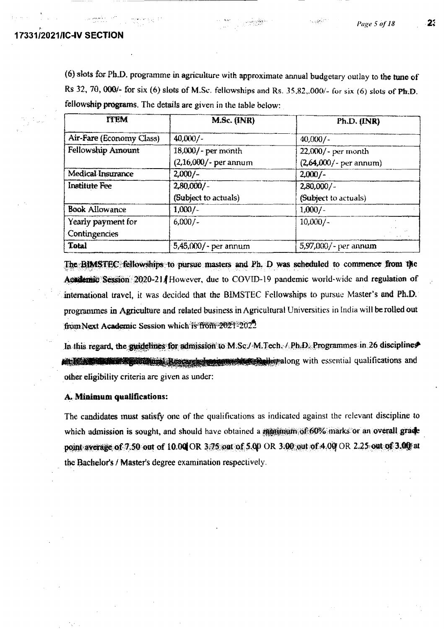## 17331/2021/IC-IV SECTION

(6) slots for Ph.D. programme in agriculture with approximate annual budgetary outlay to the tune of Rs 32, 70, 000/- for six (6) slots of M.Sc. fellowships and Rs. 35,82,.000/- for six (6) slots of Ph.D. fellowship programs. The details are given in the table below:

| <b>ITEM</b>              | M.Sc. (INR)              | Ph.D. (INR)               |
|--------------------------|--------------------------|---------------------------|
| Air-Fare (Economy Class) | 40,000/-                 | $40,000/-$                |
| Fellowship Amount        | 18,000/- per month       | 22,000/- per month        |
|                          | $(2,16,000)$ - per annum | $(2,64,000)$ - per annum) |
| Medical Insurance        | $2,000/-$                | $2,000/-$                 |
| <b>Institute Fee</b>     | $2,80,000/$ -            | $2,80,000/$ -             |
|                          | (Subject to actuals)     | (Subject to actuals)      |
| <b>Book Allowance</b>    | $1,000/-$                | 1,000/                    |
| Yearly payment for       | $6,000/-$                | $10,000/-$                |
| Contingencies            |                          |                           |
| <b>Total</b>             | 5,45,000/- per annum     | 5,97,000/ - per annum     |

The BIMSTEC fellowships to pursue masters and Ph. D was scheduled to commence from the Academic Session 2020-21/However, due to COVID-19 pandemic world-wide and regulation of international travel, it was decided that the BIMSTEC Fellowships to pursue Master's and Ph.D. programmes in Agriculture and related business in Agricultural Universities in India will be rolled out from Next Academic Session which is from 2021-2022

In this regard, the guidelines for admission to M.Sc./ M.Tech. / Ph.D. Programmes in 26 disciplines on 15 November 2 good to a Research in the search of the spatial qualifications and other eligibility criteria are given as under:

#### A. Minimum qualifications:

The candidates must satisfy one of the qualifications as indicated against the relevant discipline to which admission is sought, and should have obtained a motimum of 60% marks or an overall grade point average of 7.50 out of 10.00 OR 3.75 out of 5.00 OR 3.00 out of 4.00 OR 2.25 out of 3.00 at the Bachelor's / Master's degree examination respectively.

23

أوركعكاده بالأ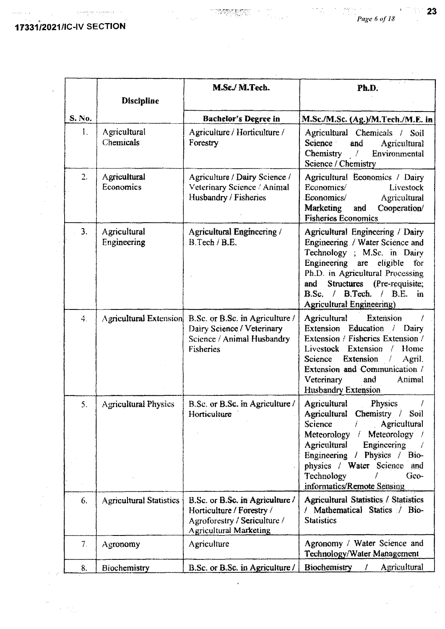17331/2021/IC-IV SECTION

 $\mathbb{R}^2$ 

 $\sim \tau_{\rm g}$ 

 $\left\langle \left( \left( \mathcal{L}_{\mathcal{A}}\right) \left( \left( \mathcal{L}_{\mathcal{A}}\right) \right) \right) \right\rangle _{1} \left( \mathcal{L}_{\mathcal{A}}\right)$ 

openerysis represents:

 $\frac{1}{\sqrt{2}}\left(\frac{1}{\sqrt{2}}\right)^2$ 

i<br>Seria

 $\sim$ 

ine<br>The gain

 $\bar{z}$ 

 $\sim$ 

 $\hat{\mathcal{A}}$ 

|                  | <b>Discipline</b>              | M.Sc./ M.Tech.                                                                                                                  | Ph.D.                                                                                                                                                                                                                                                                                                          |
|------------------|--------------------------------|---------------------------------------------------------------------------------------------------------------------------------|----------------------------------------------------------------------------------------------------------------------------------------------------------------------------------------------------------------------------------------------------------------------------------------------------------------|
| S. No.           |                                | <b>Bachelor's Degree in</b>                                                                                                     | M.Sc./M.Sc. (Ag.)/M.Tech./M.E. in                                                                                                                                                                                                                                                                              |
| 1.               | Agricultural<br>Chemicals      | Agriculture / Horticulture /<br>Forestry                                                                                        | Agricultural Chemicals / Soil<br>Science :<br>and<br>Agricultural<br>Chemistry<br>Environmental<br>$\frac{1}{2}$<br>Science / Chemistry                                                                                                                                                                        |
| 2.               | Agricultural<br>Economics      | Agriculture / Dairy Science /<br>Veterinary Science / Animal<br>Husbandry / Fisheries                                           | Agricultural Economics / Dairy<br>Economics/<br>Livestock<br>Economics/<br>Agricultural<br><b>Marketing</b><br>Cooperation/<br>and<br><b>Fisheries Economics</b>                                                                                                                                               |
| 3.               | Agricultural<br>Engineering    | Agricultural Engineering /<br>B.Tech / B.E.                                                                                     | Agricultural Engineering / Dairy<br>Engineering / Water Science and<br>Technology ; M.Sc. in Dairy<br>Engineering are eligible<br>for<br>Ph.D. in Agricultural Processing<br>Structures (Pre-requisite:<br>and<br>B.Sc. / B.Tech. / B.E. in<br><b>Agricultural Engineering</b> )                               |
| $\overline{4}$ . |                                | Agricultural Extension B.Sc. or B.Sc. in Agriculture /<br>Dairy Science / Veterinary<br>Science / Animal Husbandry<br>Fisheries | <b>Extension</b><br><b>Agricultural</b><br>Extension Education / Dairy<br>Extension / Fisheries Extension /<br>Livestock Extension / Home<br>Extension /<br>Science<br>Agril.<br>Extension and Communication /<br>Veterinary<br>and<br>Animal<br><b>Husbandry Extension</b>                                    |
| 5.               | <b>Agricultural Physics</b>    | B.Sc. or B.Sc. in Agriculture /<br>Horticulture                                                                                 | Physics<br>Agricultural<br>Agricultural Chemistry /<br>- Soil<br>Agricultural<br>Science<br>Meteorology<br>Meteorology $\frac{1}{2}$<br>$\mathcal{L}$<br><b>Agricultural</b><br>Engineering<br>Engineering / Physics / Bio-<br>physics / Water Science and<br>Technology<br>Geo-<br>informatics/Remote Sensing |
| 6.               | <b>Agricultural Statistics</b> | B.Sc. or B.Sc. in Agriculture /<br>Horticulture / Forestry /<br>Agroforestry / Sericulture /<br><b>Agricultural Marketing</b>   | Agricultural Statistics / Statistics<br>/ Mathematical Statics / Bio-<br><b>Statistics</b>                                                                                                                                                                                                                     |
| 7.               | Agronomy                       | Agriculture                                                                                                                     | Agronomy / Water Science and<br>Technology/Water Management                                                                                                                                                                                                                                                    |
| 8.               | <b>Biochemistry</b>            | B.Sc. or B.Sc. in Agriculture/                                                                                                  | <b>Biochemistry</b><br>Agricultural                                                                                                                                                                                                                                                                            |

 $\hat{\mathcal{A}}$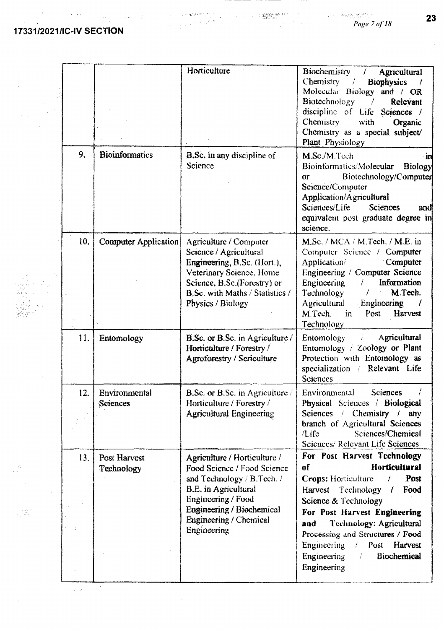$\ddot{\phantom{a}}$ 

 $\frac{1}{2} \sum_{i=1}^{N} \frac{1}{2} \sum_{j=1}^{N}$ 

 $\Delta \phi$ 

 $\sim 10^{-1}$ 

 $\begin{aligned} \frac{d\sigma}{d\sigma} = \frac{1}{2\pi\sigma^2} \frac{d\sigma}{d\sigma} = \frac{1}{2\pi\sigma^2} \frac{d\sigma}{d\sigma} \frac{d\sigma}{d\sigma} = \frac{1}{2\pi\sigma^2} \frac{d\sigma}{d\sigma} \frac{d\sigma}{d\sigma} = \frac{1}{2\pi\sigma^2} \frac{d\sigma}{d\sigma} \frac{d\sigma}{d\sigma} = \frac{1}{2\pi\sigma^2} \frac{d\sigma}{d\sigma} \frac{d\sigma}{d\sigma} = \frac{1}{2\pi\sigma^2} \frac{d\sigma}{d\sigma} \frac{d\sigma}{d\sigma$ 

 $\ddot{\phantom{a}}$ 

 $\bar{\phantom{a}}$ 

 $\mathcal{L}_{\text{max}}$  ,  $\mathcal{L}_{\text{max}}$ 

 $\sim 10^{11} M_{\odot}$ 

|     |                             | Horticulture                                                                                                                                                                                                  | Biochemistry<br>Agricultural<br>$\left  \right $<br>Chemistry<br>$\sqrt{2}$<br><b>Biophysics</b><br>Molecular Biology and / OR<br>Biotechnology<br>$\mathcal{L}$<br>Relevant<br>discipline of Life Sciences /<br>Chemistry<br>with<br>Organic<br>Chemistry as a special subject/<br>Plant Physiology                                                        |
|-----|-----------------------------|---------------------------------------------------------------------------------------------------------------------------------------------------------------------------------------------------------------|-------------------------------------------------------------------------------------------------------------------------------------------------------------------------------------------------------------------------------------------------------------------------------------------------------------------------------------------------------------|
| 9.  | <b>Bioinformatics</b>       | <b>B.Sc.</b> in any discipline of<br><b>Science</b>                                                                                                                                                           | M.Sc./M.Tech.<br>٠m<br>Bioinformatics/Molecular<br>Biology<br>Biotechnology/Computer<br>or<br>Science/Computer<br>Application/Agricultural<br>Sciences/Life<br><b>Sciences</b><br>and<br>equivalent post graduate degree in<br>science.                                                                                                                     |
| 10. | <b>Computer Application</b> | Agriculture / Computer<br>Science / Agricultural<br>Engineering, B.Sc. (Hort.),<br>Veterinary Science, Home<br>Science, B.Sc.(Forestry) or<br>B.Sc. with Maths / Statistics /<br>Physics / Biology            | M.Sc. / MCA / M.Tech. / M.E. in<br>Computer Science / Computer<br>Computer<br>Application/<br>Engineering / Computer Science<br>Information<br>Engineering<br>Î<br>M.Tech.<br>Technology<br>$\mathcal{F}$<br><b>Agricultural</b><br>Engineering<br>M.Tech.<br>Post<br>Harvest<br>in<br>Technology                                                           |
| 11. | Entomology                  | B.Sc. or B.Sc. in Agriculture /<br>Horticulture / Forestry /<br><b>Agroforestry / Sericulture</b>                                                                                                             | Agricultural<br>Entomology<br>Ť.<br>Entomology / Zoology or Plant<br>Protection with Entomology as<br>specialization / Relevant Life<br><b>Sciences</b>                                                                                                                                                                                                     |
| 12. | Environmental<br>Sciences   | <b>B.Sc. or B.Sc. in Agriculture</b> /<br>Horticulture / Forestry /<br><b>Agricultural Engineering</b>                                                                                                        | Environmental<br>Sciences<br>Physical Sciences / Biological<br>Sciences / Chemistry / any<br>branch of Agricultural Sciences<br>Sciences/Chemical<br>/Life<br>Sciences/ Relevant Life Sciences                                                                                                                                                              |
| 13. | Post Harvest<br>Technology  | Agriculture / Horticulture /<br>Food Science / Food Science<br>and Technology / B.Tech. /<br>B.E. in Agricultural<br>Engineering / Food<br>Engineering / Biochemical<br>Engineering / Chemical<br>Engineering | For Post Harvest Technology<br>Horticultural<br>of<br><b>Crops:</b> Horticulture<br>Post<br>Ť<br>Harvest Technology /<br>Food<br>Science & Technology<br>For Post Harvest Engineering<br>Technology: Agricultural<br>and<br>Processing and Structures / Food<br>Engineering<br>/ Post Harvest<br>Engineering<br>Biochemical<br>$\mathcal{F}$<br>Engineering |

23

 $\mathcal{A}^{\mathcal{A}}$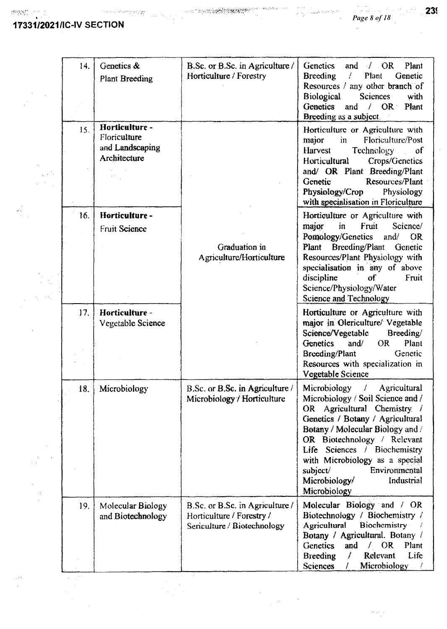$\sim$  $\sim$   $\sim$ 

> $\ddot{\phantom{a}}$  $\ddotsc$  $\chi\to$

> > $\begin{bmatrix} 1 \\ 1 \\ 2 \end{bmatrix}$

 $\gamma$ 

 $\ddot{\phantom{1}}$ 

 $\frac{1}{2}$ 

 $\mathcal{L}$  $\sim$   $\!$ 

 $\hat{\mathcal{A}}$ 

 $\begin{array}{l} \mathbb{E}\left[\mathbf{y}\right] \\ \mathbb{E}\left[\mathbf{y}\right] \\ \mathbb{E}\left[\mathbf{y}\right] \end{array}$ 

# **17331/202111C-IV SECTION**

 $\ddot{\phantom{a}}$ 

| 14. | Genetics &<br><b>Plant Breeding</b>                               | B.Sc. or B.Sc. in Agriculture /<br>Horticulture / Forestry                                  | <b>Genetics</b><br>Plant<br>$\angle$ OR<br>and<br>Plant<br>Ł<br>Genetic<br><b>Breeding</b><br>Resources / any other branch of<br><b>Biological</b><br><b>Sciences</b><br>with<br>Genetics<br>and / OR Plant<br>Breeding as a subject.                                                                                                                  |
|-----|-------------------------------------------------------------------|---------------------------------------------------------------------------------------------|--------------------------------------------------------------------------------------------------------------------------------------------------------------------------------------------------------------------------------------------------------------------------------------------------------------------------------------------------------|
| 15. | Horticulture -<br>Floriculture<br>and Landscaping<br>Architecture |                                                                                             | Horticulture or Agriculture with<br>Floriculture/Post<br>major<br>$\mathbf{in}$<br>Harvest<br><b>Technology</b><br>$\sigma$<br><b>Horticultural</b><br>Crops/Genetics<br>and/ OR Plant Breeding/Plant<br>Resources/Plant<br>Genetic<br>Physiology/Crop<br>Physiology<br>with specialisation in Floriculture                                            |
| 16. | Horticulture-<br><b>Fruit Science</b>                             | Graduation in<br>Agriculture/Horticulture                                                   | Horticulture or Agriculture with<br>in<br>major<br>Fruit<br>Science/<br>Pomology/Genetics<br>and/<br>OR<br><b>Breeding/Plant</b><br>Plant<br>Genetic<br>Resources/Plant Physiology with<br>specialisation in any of above<br>discipline<br>Fruit<br>σf<br>Science/Physiology/Water<br><b>Science and Technology</b>                                    |
| 17. | Horticulture -<br>Vegetable Science                               |                                                                                             | Horticulture or Agriculture with<br>major in Olericulture/ Vegetable<br>Science/Vegetable<br>Breeding/<br>and $\ell$<br>Plant<br>Genetics<br>OR -<br>Genetic<br>Breeding/Plant<br>Resources with specialization in<br>Vegetable Science                                                                                                                |
| 18. | Microbiology                                                      | B.Sc. or B.Sc. in Agriculture /<br>Microbiology / Horticulture                              | Microbiology /<br>Agricultural<br>Microbiology / Soil Science and /<br>OR Agricultural Chemistry /<br>Genetics / Botany / Agricultural<br>Botany / Molecular Biology and /<br>OR Biotechnology / Relevant<br>Life Sciences / Biochemistry<br>with Microbiology as a special<br>Environmental<br>subject<br>Industrial<br>Microbiology/<br>Microbiology |
| 19. | Molecular Biology<br>and Biotechnology                            | B.Sc. or B.Sc. in Agriculture /<br>Horticulture / Forestry /<br>Sericulture / Biotechnology | Molecular Biology and / OR<br>Biotechnology / Biochemistry /<br>Agricultural<br>Biochemistry<br>Botany / Agricultural. Botany /<br><b>Genetics</b><br>and $/ OR$<br>Plant<br>$\overline{f}$<br>Relevant<br>Life<br><b>Breeding</b><br>Microbiology<br><b>Sciences</b><br>L                                                                             |

 $\bar{z}$ 

 $\frac{1}{2}$  ,  $\frac{1}{2}$ 

 $\bar{\gamma}$ 

 $\mathcal{H}^{\alpha}$  and  $\alpha$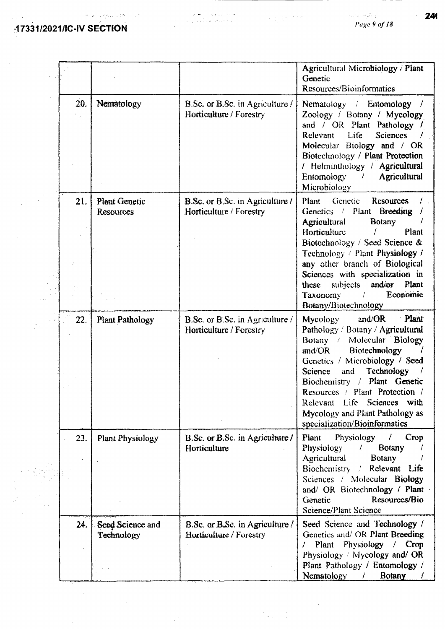17331/2021/IC-IV SECTION

 $\sim 10^{-1}$ 

 $\frac{1}{2}$  .

 $\mathcal{A}^{\mathcal{A}}$ 

 $\left\langle s\right\rangle =\left\langle \left\langle v_{1}^{(1)},\ldots\right\rangle \right\rangle \left\langle v_{n}^{(2)}\right\rangle$ 

 $\sim$   $\sim$ 

 $Page 9 of 18$ 

|                                    |                                          |                                                                          | Agricultural Microbiology / Plant<br>Genetic<br>Resources/Bioinformatics                                                                                                                                                                                                                                                                                                  |
|------------------------------------|------------------------------------------|--------------------------------------------------------------------------|---------------------------------------------------------------------------------------------------------------------------------------------------------------------------------------------------------------------------------------------------------------------------------------------------------------------------------------------------------------------------|
| 20.<br>$\mathcal{P}_{\mathrm{in}}$ | Nematology                               | B.Sc. or B.Sc. in Agriculture /<br>Horticulture / Forestry               | Nematology / Entomology /<br>Zoology / Botany / Mycology<br>and / OR Plant Pathology /<br>Life<br><b>Sciences</b><br>Relevant<br>Molecular Biology and / OR<br>Biotechnology / Plant Protection<br>/ Helminthology / Agricultural<br>Entomology / Agricultural<br>Microbiology                                                                                            |
| 21.                                | <b>Plant Genetic</b><br><b>Resources</b> | <b>B.Sc.</b> or B.Sc. in Agriculture /<br>Horticulture / Forestry        | Genetic<br>Resources<br>Plant<br>Genetics / Plant Breeding /<br><b>Agricultural</b><br><b>Botany</b><br>Horticulture<br>Ť<br>Plant                                                                                                                                                                                                                                        |
|                                    |                                          |                                                                          | Biotechnology / Seed Science &<br>Technology / Plant Physiology $f$<br>any other branch of Biological<br>Sciences with specialization in<br>these subjects and/or Plant<br>Economic<br>Taxonomy<br>Botany/Biotechnology                                                                                                                                                   |
| 22.                                | <b>Plant Pathology</b>                   | <b>B.Sc.</b> or <b>B.Sc.</b> in Agriculture /<br>Horticulture / Forestry | Plant<br>and/ $OR$<br>Mycology<br>Pathology / Botany / Agricultural<br>Botany / Molecular Biology<br>Biotechnology<br>and/ $OR$<br>Genetics / Microbiology / Seed<br>Technology<br>Science<br>and<br>Biochemistry / Plant Genetic<br>Resources / Plant Protection /<br>Relevant Life<br>Sciences with<br>Mycology and Plant Pathology as<br>specialization/Bioinformatics |
| 23.                                | <b>Plant Physiology</b>                  | B.Sc. or B.Sc. in Agriculture /<br>Horticulture                          | Plant Physiology<br>$\mathcal{L}$<br>Crop<br>Botany<br><b>Physiology</b><br>$t \sim$<br>Agricultural<br>Botany<br>Biochemistry / Relevant Life<br>Sciences / Molecular Biology<br>and/ OR Biotechnology / Plant<br>Genetic<br>Resources/Bio<br>Science/Plant Science                                                                                                      |
| 24.                                | Seed Science and<br>Technology           | B.Sc. or B.Sc. in Agriculture /<br>Horticulture / Forestry               | Seed Science and Technology /<br>Genetics and/ OR Plant Breeding<br>Plant Physiology / Crop<br>Z.<br>Physiology / Mycology and/ OR<br>Plant Pathology / Entomology /<br>Nematology<br><b>Botany</b><br>a Mari                                                                                                                                                             |

 $\hat{\mathcal{A}}$ 

 $\label{eq:2.1} \frac{1}{2} \sum_{i=1}^n \frac{1}{2} \sum_{j=1}^n \frac{1}{2} \sum_{j=1}^n \frac{1}{2} \sum_{j=1}^n \frac{1}{2} \sum_{j=1}^n \frac{1}{2} \sum_{j=1}^n \frac{1}{2} \sum_{j=1}^n \frac{1}{2} \sum_{j=1}^n \frac{1}{2} \sum_{j=1}^n \frac{1}{2} \sum_{j=1}^n \frac{1}{2} \sum_{j=1}^n \frac{1}{2} \sum_{j=1}^n \frac{1}{2} \sum_{j=1}^n \frac{$ 

سامان المتعاون العلام .<br>المائة المتحدة المتحدة والمتحدة

24

 $\mathcal{L}^{\mathcal{L}}$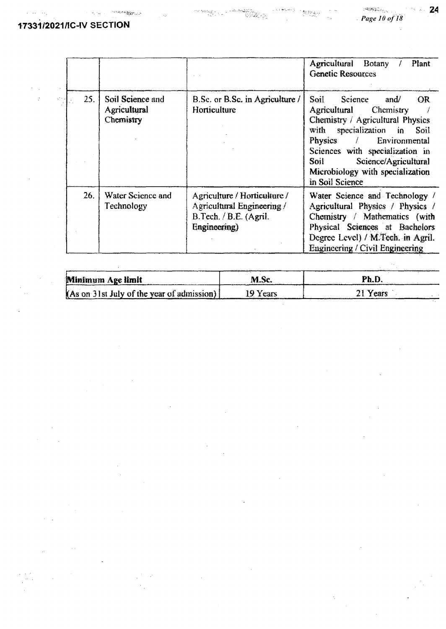$\mathcal{R}_1 \cong_{\mathcal{R}_2}$ 

**SERVICE STATE** 

 $\mathop{\mathrm{Tr}}\nolimits\lim_{\epsilon\to 0}$ 

 $\hat{\mathcal{E}}_{\text{in}}$ 

24

|     |                                               |                                                                                                      | Agricultural Botany /<br>Plant<br><b>Genetic Resources</b>                                                                                                                                                                                                                                                |
|-----|-----------------------------------------------|------------------------------------------------------------------------------------------------------|-----------------------------------------------------------------------------------------------------------------------------------------------------------------------------------------------------------------------------------------------------------------------------------------------------------|
| 25. | Soil Science and<br>Agricultural<br>Chemistry | B.Sc. or B.Sc. in Agriculture /<br>Horticulture                                                      | Soil<br><b>OR</b><br>Science<br>and/<br>Agricultural<br>Chemistry<br>Chemistry / Agricultural Physics<br>with specialization in Soil<br>Physics / Environmental<br>Sciences with specialization in<br>Science/Agricultural<br>Soil <b>Solution</b><br>Microbiology with specialization<br>in Soil Science |
| 26. | Water Science and<br>Technology               | Agriculture / Horticulture /<br>Agricultural Engineering /<br>B.Tech. / B.E. (Agril.<br>Engineering) | Water Science and Technology /<br>Agricultural Physics / Physics /<br>Chemistry / Mathematics (with<br>Physical Sciences at Bachelors<br>Degree Level) / M.Tech. in Agril.<br><b>Engineering / Civil Engineering</b>                                                                                      |

an<br>S

Georgia<br>Secondo

 $\label{eq:2} \mathcal{O}(\mathcal{O}(\mathbb{R}^n)) \leq \sum_{\substack{1 \leq i_1 < i_2 \leq n \\ 1 \leq i_1 < i_2 \leq n}} \mathcal{O}(\mathbb{R}^n) \leq \mathcal{O}(\mathbb{R}^n).$ 

| Minimum Age limit                             | M.Sc.    | Ph.D     |  |
|-----------------------------------------------|----------|----------|--|
| $(As$ on 3 lst July of the year of admission) | 19 Years | 21 Years |  |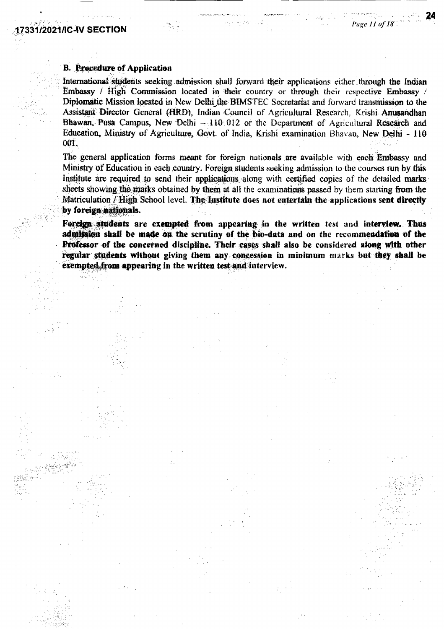#### **B. Procedure of Application**

International students seeking admission shall forward their applications either through the Indian Embassy / High Commission located in their country or through their respective Embassy / Diplomatic Mission located in New Delhi the BIMSTEC Secretariat and forward transmission to the Assistant Director General (HRD), Indian Council of Agricultural Research, Krishi Anusandhan Bhawan, Pusa Campus, New Delhi  $-110/012$  or the Department of Agricultural Research and Education, Ministry of Agriculture, Govt. of India, Krishi examination Bhavan, New Delhi - 110 001.

The general application forms meant for foreign nationals are available with each Embassy and Ministry of Education in each country. Foreign students seeking admission to the courses run by this Institute are required to send their applications along with certified copies of the detailed marks sheets showing the marks obtained by them at all the examinations passed by them starting from the Matriculation / High School level. The institute does not entertain the applications sent directly by foreign nationals.

Foreign students are exempted from appearing in the written test and interview. Thus admission shall be made on the scrutiny of the bio-data and on the recommendation of the Professor of the concerned discipline. Their cases shall also be considered along with other regular students without giving them any concession in minimum marks but they shall be exempted from appearing in the written test and interview.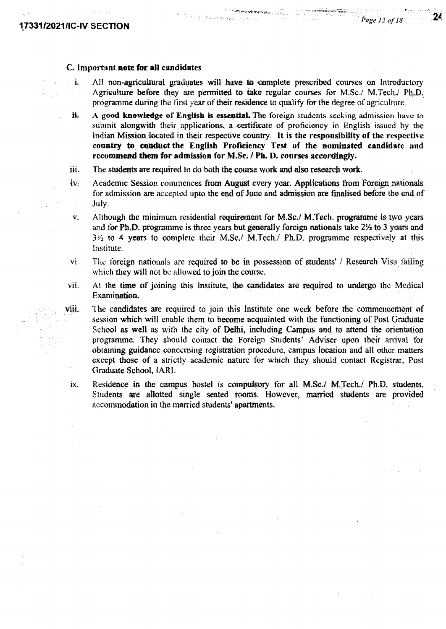$\overline{24}$ 

#### C. **important. note. for. all candidates**

I. All non-agricultural graduates will have to complete prescribed courses on Introductory Agriculture before they are permitted to take regular courses for M.Sc./ M.Tech./ Ph.D. *programme during the first year* of their residence to qualify for the degree of agriculture.

V4

- **II.** A good knowledge of English is essential. The foreign students seeking admission have to submit alongwith their applications, a certificate of proficiency in English issued by the Indian Mission located in their respective country. It is the responsibility of the respective country to conduct the English Proficiency Test of the nominated candidate and recommend them for admission for M.Sc. */ Ph. D. courses accordingly.*
- $\hat{H}$ . The students are required to do both the course work and also research work.
- iv. Academic Session commences from August every year. Applications from Foreign nationals for admission are accepted upto the end of June and admission are finalised before the end of July.
- v. Although the minimum residential requirement for M.Sc./ M.Tech. programme is two years. and for Ph.D. programme is three years but generally foreign nationals take  $2\frac{1}{2}$  to 3 years and  $3\frac{1}{2}$  to 4 years to complete their M.Sc. M.Tech. Ph.D. programme respectively at this Institute.
- vi. The foreign nationals are required to be in possession of students' / Research Visa failing which they will not be allowed to join the course,
- vii. At the time of jo:inimz this Institute, *the* candidates are required to undergo the Medical Examination.
- viii. The candidates are required to join this Institute one week before the commencement of session which will enable them *to* become acquainted with the functioning of Post Graduate School as well as with the city of Delhi, including Campus and to attend the orientation programme. They should contact the Foreign Students' Adviser upon their arrival for obtaining guidance concerning registration procedure, campus location and all other matters except those of a strictly academic nature for which they should contact Registrar, Post Graduate School, EARl.
	- ix. Residence in the campus hostel is compulsory for all  $M.ScJ M.Tech./ Ph.D.$  students. Students are allotted single seated rooms. However, married students are provided accommodation *in* the married students' apartments.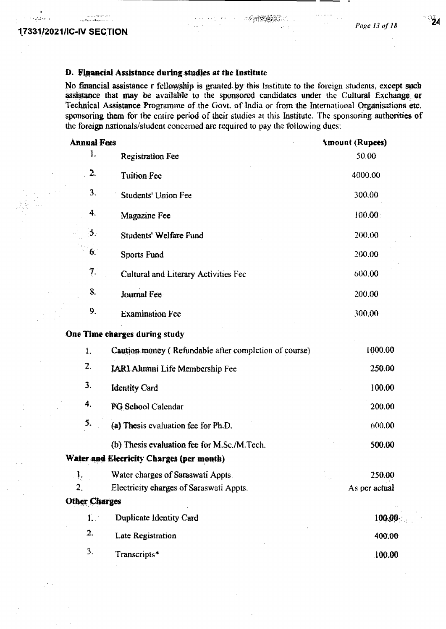ا دام ۱۹۶۲ کال در روی<br>دار داد معرف کو میگیره بود

### D. Financial Assistance during studies at the Institute

No financial assistance r fellowship is granted by this Institute to the foreign students, except sach assistance that may be available to the sponsored candidates under the Cultural Exchange or Technical Assistance Programme of the Govt. of India or from the International Organisations etc. sponsoring them for the entire period of their studies at this Institute. The sponsoring authorities of the foreign nationals/student concerned are required to pay the following dues:

| <b>Annual Fees</b>   |                                                       | <b>Amount (Rupees)</b> |
|----------------------|-------------------------------------------------------|------------------------|
| 1.                   | <b>Registration Fee</b>                               | 50.00                  |
| 2.                   | <b>Tuition Fee</b>                                    | 4000.00                |
| 3.                   | Students' Union Fee                                   | 300.00                 |
| 4.                   | Magazine Fee                                          | 100.00                 |
| 5.                   | <b>Students' Welfare Fund</b>                         | 200.00                 |
| 6.                   | Sports Fund                                           | 200.00                 |
| 7.                   | Cultural and Literary Activities Fee                  | 600.00                 |
| 8.                   | Journal Fee                                           | 200.00                 |
| 9.                   | <b>Examination Fee</b>                                | 300.00                 |
|                      | One Time charges during study                         |                        |
| $\mathbf{I}$ .       | Caution money (Refundable after completion of course) | 1000.00                |
| 2.                   | <b>IARI Alumni Life Membership Fee</b>                | 250.00                 |
| 3.                   | <b>Identity Card</b>                                  | 100.00                 |
| 4.                   | PG School Calendar                                    | 200.00                 |
| 5.                   | (a) Thesis evaluation fee for Ph.D.                   | 600.00                 |
|                      | (b) Thesis evaluation fee for M.Sc./M.Tech.           | 500.00                 |
|                      | Water and Elecricity Charges (per month)              |                        |
| l.                   | Water charges of Saraswati Appts.                     | 250.00<br>n p          |
| $\overline{2}$ .     | Electricity charges of Saraswati Appts.               | As per actual          |
| <b>Other Charges</b> |                                                       |                        |
| $\mathbf{L}$         | Duplicate Identity Card                               | 100.00                 |
| 2.                   | <b>Late Registration</b>                              | 400.00                 |
| 3.                   | Transcripts*                                          | 100.00                 |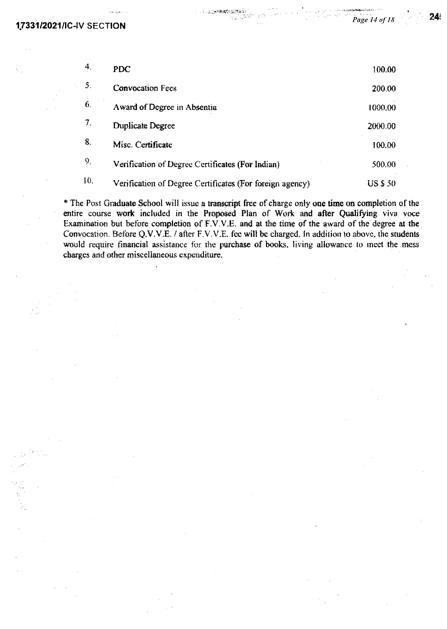| 4.  | <b>PDC</b>                                               | 100.00          |
|-----|----------------------------------------------------------|-----------------|
| 5.  | <b>Convocation Fees</b>                                  | 200.00          |
| 6.  | Award of Degree in Absentia                              | 1000.00         |
| 7.  | <b>Duplicate Degree</b>                                  | 2000.00         |
| 8.  | Misc. Certificate                                        | 100.00          |
| 9.  | Verification of Degree Certificates (For Indian)         | 500.00          |
| 10. | Verification of Degree Certificates (For foreign agency) | <b>US \$ 50</b> |

- 3. 反応<del>の発送</del>を振動系令

*\** The Post Graduate School will issue a transcript free of charge only **one time on** completion of the entire course work included in the Proposed Plan of Work and after Qualifying viva voce Examination but before completion of F.V,V.E. and at the time of the award of the degree at the Convocation Before *Q.V.V.E. / after F.V.V.E.* fee wilt be charged. In addition to above, the students would require financial assistance for the purchase of books, living allowance to meet the mess charges and other *miscellaneous expenditure.* 

Page 14 of 18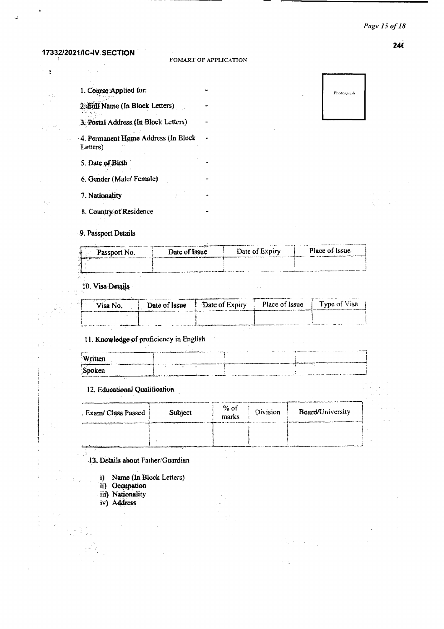#### Page 15 of 18

#### $246$

| 1. Course Applied for:                          |  |
|-------------------------------------------------|--|
| 2. Full Name (In Block Letters)                 |  |
| 3. Postal Address (In Block Letters)            |  |
| 4. Permanent Home Address (In Block<br>Letters) |  |
| 5. Date of Birth                                |  |
| 6. Gender (Male/Female)                         |  |
| 7. Nationality                                  |  |
| 8. Country of Residence                         |  |

Photograph

#### 9. Passport Details

ι.

ti se

 $\frac{1}{2}$ 

| Date of Expiry<br>Date of Issue<br><b>EXECUTE:</b> Passport No. | <b>Place of Issue</b> |
|-----------------------------------------------------------------|-----------------------|
|                                                                 |                       |

#### 10. Visa Details

| Visa No. | Date of Issue | Date of Expiry | <b>STATE OF ALL AND ALL AND</b><br>Place of Issue | Type of Visa<br><b>Market Communication of the contribution of the communication</b> |
|----------|---------------|----------------|---------------------------------------------------|--------------------------------------------------------------------------------------|
|          | $- - - - -$   |                |                                                   | <br>-- --<br>.                                                                       |

#### 11. Knowledge of proficiency in English

|                                                            | $1.444 m + 1.002 m$ | <b>Barrow</b> |  |
|------------------------------------------------------------|---------------------|---------------|--|
| Written                                                    |                     |               |  |
| <b>Contact Contact</b><br>and the state of the contract of | <b>British</b>      |               |  |
| Spoken                                                     |                     |               |  |
|                                                            |                     |               |  |

#### 12. Educational Qualification

| Exam/ Class Passed | Subject | % of<br>marks | Division | Board/University |
|--------------------|---------|---------------|----------|------------------|
|                    |         |               |          |                  |
|                    |         |               |          |                  |

13. Details about Father/Guardian

- i) Name (In Block Letters)
- ii) Occupation
- iii) Nationality
- iv) Address